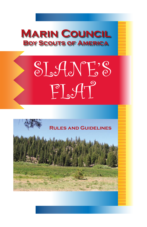

## SLANE'S  $PI^o$

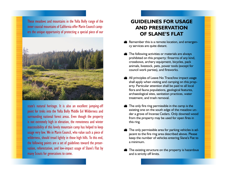These meadows and mountains in the Yolla Bolly range of the inner coastal mountains of California offer Marin Council campers the unique opportunity of protecting a special piece of our



state's natural heritage. It is also an excellent jumping-off point for treks into the Yolla Bolly Middle Eel Wilderness and surrounding national forest areas. Even though the property is not extremely high in elevation, the remoteness and winter inaccessibility of this lovely mountain camp has helped to keep usage very low. We in Marin Council, who value such a piece of wilderness, should tread lightly in those high hills. To this end, the following points are a set of guidelines toward the preservation, reforestation, and low-impact usage of Slane's Flat by many Scouts for generations to come.

## **GUIDELINES FOR USAGE AND PRESERVATION OF SLANE'S FLAT**

- Remember this is a remote location, and emergency services are quite distant.
- The following activities or materials are always prohibited on this property: firearms of any kind, crossbows, archery equipment, bicycles, pack animals, livestock, pets, power tools (except for council work parties), and fireworks.
- All principles of Leave No Trace/low impact usage shall apply when visiting and camping on this property. Particular attention shall be paid to all local flora and fauna populations, geological features, archaeological sites, sanitation practices, water treatment, and trash removal.
- The only fire ring permissible in the camp is the existing one on the south edge of the meadow under a grove of Incense Cedars. Only downed wood from the property may be used for open fires in this ring.
- The only permissible area for parking vehicles is adjacent to the fire ring area described above. Please keep the number of vehicles entering Slane's Flat to a minimum.
- The existing structure on the property is hazardous and is strictly off limits.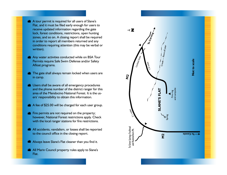- A tour permit is required for all users of Slane's Flat, and it must be filed early enough for users to receive updated information regarding the gate lock, forest conditions, restrictions, open hunting zones, and so on. A closing report shall be required in order to report all members returned and any conditions requiring attention (this may be verbal or written).
- Any water activities conducted while on BSA Tour Permits require Safe Swim Defense and/or Safety Afloat programs.
- The gate shall always remain locked when users are in camp.
- Users shall be aware of all emergency procedures and the phone number of the district ranger for this area of the Mendocino National Forest. It is the users' responsibility to obtain this information.
- A fee of \$25.00 will be charged for each user group.
- Fire permits are not required on the property; however, National Forest restrictions apply. Check with the local ranger stations for fire restrictions.
- All accidents, vandalism, or losses shall be reported to the council office in the closing report.
- Always leave Slane's Flat cleaner than you find it.
- All Marin Council property rules apply to Slane's Flat.

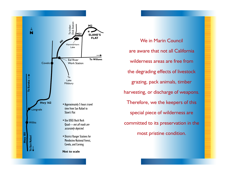

We in Marin Council are aware that not all California wilderness areas are free from the degrading effects of livestock grazing, pack animals, timber harvesting, or discharge of weapons. Therefore, we the keepers of this special piece of wilderness are committed to its preservation in the most pristine condition.